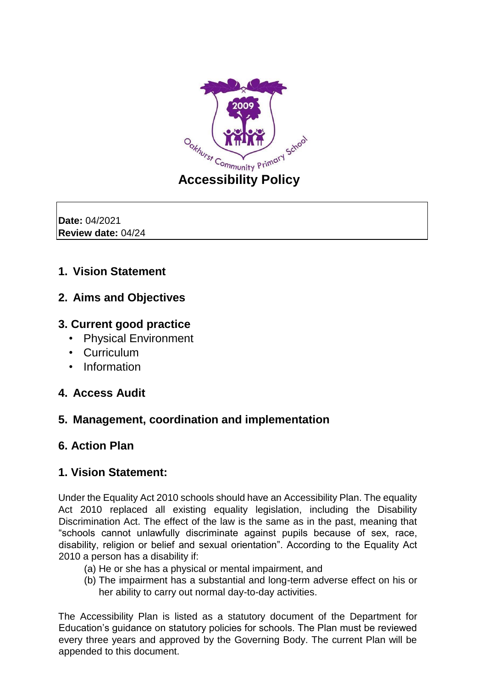

**Date:** 04/2021 **Review date:** 04/24

# **1. Vision Statement**

## **2. Aims and Objectives**

## **3. Current good practice**

- Physical Environment
- Curriculum
- Information

## **4. Access Audit**

## **5. Management, coordination and implementation**

## **6. Action Plan**

## **1. Vision Statement:**

Under the Equality Act 2010 schools should have an Accessibility Plan. The equality Act 2010 replaced all existing equality legislation, including the Disability Discrimination Act. The effect of the law is the same as in the past, meaning that "schools cannot unlawfully discriminate against pupils because of sex, race, disability, religion or belief and sexual orientation". According to the Equality Act 2010 a person has a disability if:

- (a) He or she has a physical or mental impairment, and
- (b) The impairment has a substantial and long-term adverse effect on his or her ability to carry out normal day-to-day activities.

The Accessibility Plan is listed as a statutory document of the Department for Education's guidance on statutory policies for schools. The Plan must be reviewed every three years and approved by the Governing Body. The current Plan will be appended to this document.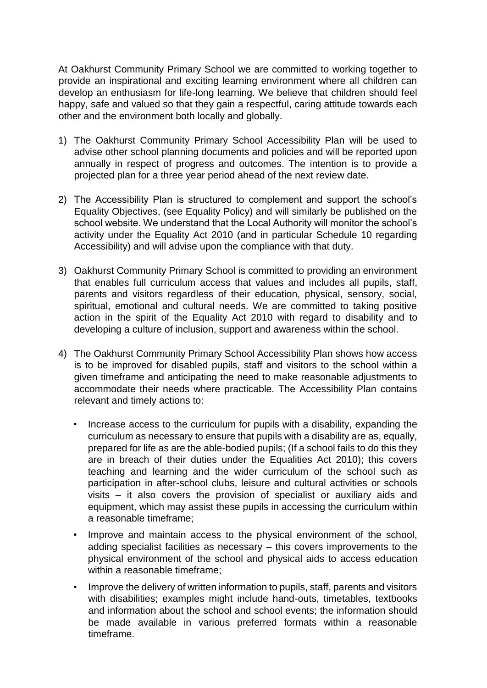At Oakhurst Community Primary School we are committed to working together to provide an inspirational and exciting learning environment where all children can develop an enthusiasm for life-long learning. We believe that children should feel happy, safe and valued so that they gain a respectful, caring attitude towards each other and the environment both locally and globally.

- 1) The Oakhurst Community Primary School Accessibility Plan will be used to advise other school planning documents and policies and will be reported upon annually in respect of progress and outcomes. The intention is to provide a projected plan for a three year period ahead of the next review date.
- 2) The Accessibility Plan is structured to complement and support the school's Equality Objectives, (see Equality Policy) and will similarly be published on the school website. We understand that the Local Authority will monitor the school's activity under the Equality Act 2010 (and in particular Schedule 10 regarding Accessibility) and will advise upon the compliance with that duty.
- 3) Oakhurst Community Primary School is committed to providing an environment that enables full curriculum access that values and includes all pupils, staff, parents and visitors regardless of their education, physical, sensory, social, spiritual, emotional and cultural needs. We are committed to taking positive action in the spirit of the Equality Act 2010 with regard to disability and to developing a culture of inclusion, support and awareness within the school.
- 4) The Oakhurst Community Primary School Accessibility Plan shows how access is to be improved for disabled pupils, staff and visitors to the school within a given timeframe and anticipating the need to make reasonable adjustments to accommodate their needs where practicable. The Accessibility Plan contains relevant and timely actions to:
	- Increase access to the curriculum for pupils with a disability, expanding the curriculum as necessary to ensure that pupils with a disability are as, equally, prepared for life as are the able-bodied pupils; (If a school fails to do this they are in breach of their duties under the Equalities Act 2010); this covers teaching and learning and the wider curriculum of the school such as participation in after-school clubs, leisure and cultural activities or schools visits – it also covers the provision of specialist or auxiliary aids and equipment, which may assist these pupils in accessing the curriculum within a reasonable timeframe;
	- Improve and maintain access to the physical environment of the school, adding specialist facilities as necessary – this covers improvements to the physical environment of the school and physical aids to access education within a reasonable timeframe;
	- Improve the delivery of written information to pupils, staff, parents and visitors with disabilities; examples might include hand-outs, timetables, textbooks and information about the school and school events; the information should be made available in various preferred formats within a reasonable timeframe.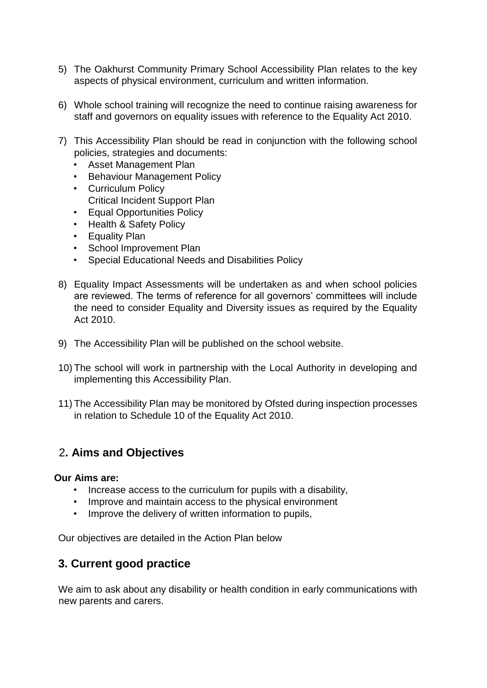- 5) The Oakhurst Community Primary School Accessibility Plan relates to the key aspects of physical environment, curriculum and written information.
- 6) Whole school training will recognize the need to continue raising awareness for staff and governors on equality issues with reference to the Equality Act 2010.
- 7) This Accessibility Plan should be read in conjunction with the following school policies, strategies and documents:
	- Asset Management Plan
	- Behaviour Management Policy
	- Curriculum Policy Critical Incident Support Plan
	- Equal Opportunities Policy
	- Health & Safety Policy
	- Equality Plan
	- School Improvement Plan
	- Special Educational Needs and Disabilities Policy
- 8) Equality Impact Assessments will be undertaken as and when school policies are reviewed. The terms of reference for all governors' committees will include the need to consider Equality and Diversity issues as required by the Equality Act 2010.
- 9) The Accessibility Plan will be published on the school website.
- 10) The school will work in partnership with the Local Authority in developing and implementing this Accessibility Plan.
- 11) The Accessibility Plan may be monitored by Ofsted during inspection processes in relation to Schedule 10 of the Equality Act 2010.

# 2**. Aims and Objectives**

#### **Our Aims are:**

- Increase access to the curriculum for pupils with a disability,
- Improve and maintain access to the physical environment
- Improve the delivery of written information to pupils,

Our objectives are detailed in the Action Plan below

## **3. Current good practice**

We aim to ask about any disability or health condition in early communications with new parents and carers.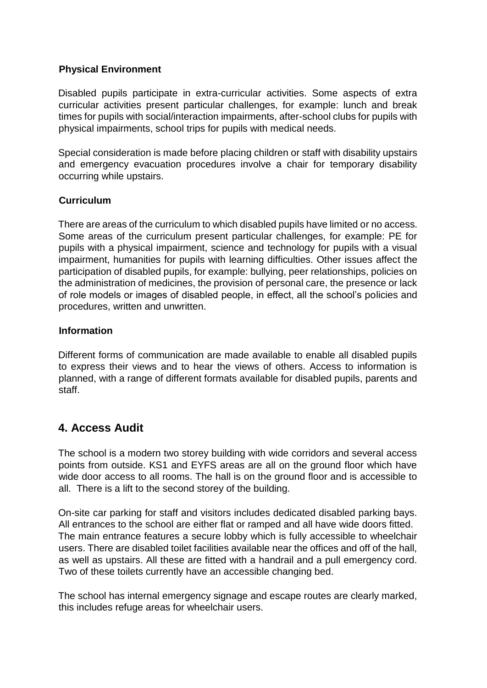#### **Physical Environment**

Disabled pupils participate in extra-curricular activities. Some aspects of extra curricular activities present particular challenges, for example: lunch and break times for pupils with social/interaction impairments, after-school clubs for pupils with physical impairments, school trips for pupils with medical needs.

Special consideration is made before placing children or staff with disability upstairs and emergency evacuation procedures involve a chair for temporary disability occurring while upstairs.

#### **Curriculum**

There are areas of the curriculum to which disabled pupils have limited or no access. Some areas of the curriculum present particular challenges, for example: PE for pupils with a physical impairment, science and technology for pupils with a visual impairment, humanities for pupils with learning difficulties. Other issues affect the participation of disabled pupils, for example: bullying, peer relationships, policies on the administration of medicines, the provision of personal care, the presence or lack of role models or images of disabled people, in effect, all the school's policies and procedures, written and unwritten.

#### **Information**

Different forms of communication are made available to enable all disabled pupils to express their views and to hear the views of others. Access to information is planned, with a range of different formats available for disabled pupils, parents and staff.

## **4. Access Audit**

The school is a modern two storey building with wide corridors and several access points from outside. KS1 and EYFS areas are all on the ground floor which have wide door access to all rooms. The hall is on the ground floor and is accessible to all. There is a lift to the second storey of the building.

On-site car parking for staff and visitors includes dedicated disabled parking bays. All entrances to the school are either flat or ramped and all have wide doors fitted. The main entrance features a secure lobby which is fully accessible to wheelchair users. There are disabled toilet facilities available near the offices and off of the hall, as well as upstairs. All these are fitted with a handrail and a pull emergency cord. Two of these toilets currently have an accessible changing bed.

The school has internal emergency signage and escape routes are clearly marked, this includes refuge areas for wheelchair users.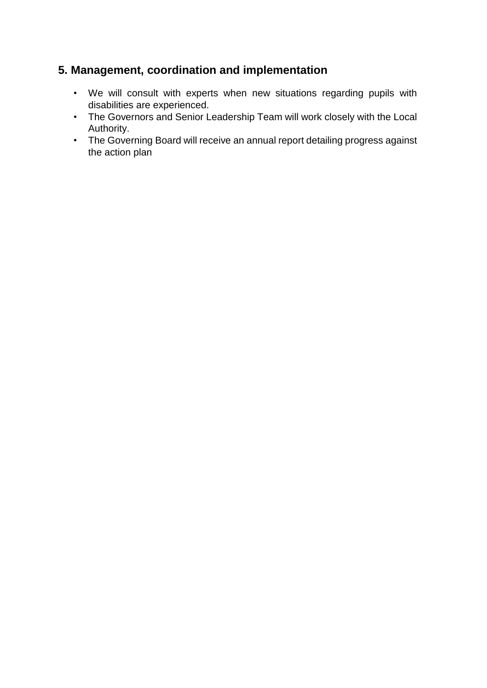# **5. Management, coordination and implementation**

- We will consult with experts when new situations regarding pupils with disabilities are experienced.
- The Governors and Senior Leadership Team will work closely with the Local Authority.
- The Governing Board will receive an annual report detailing progress against the action plan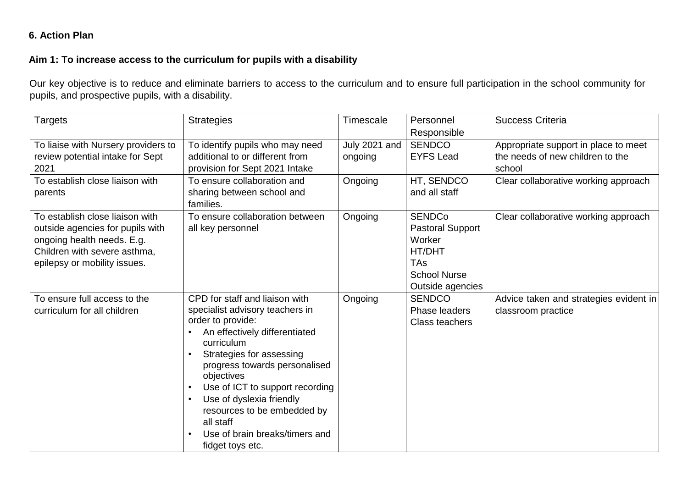### **6. Action Plan**

### **Aim 1: To increase access to the curriculum for pupils with a disability**

Our key objective is to reduce and eliminate barriers to access to the curriculum and to ensure full participation in the school community for pupils, and prospective pupils, with a disability.

| <b>Targets</b>                                                                                                                                                    | <b>Strategies</b>                                                                                                                                                                                                                                                                                                                                                                 | Timescale                | Personnel<br>Responsible                                                                                              | <b>Success Criteria</b>                                                            |
|-------------------------------------------------------------------------------------------------------------------------------------------------------------------|-----------------------------------------------------------------------------------------------------------------------------------------------------------------------------------------------------------------------------------------------------------------------------------------------------------------------------------------------------------------------------------|--------------------------|-----------------------------------------------------------------------------------------------------------------------|------------------------------------------------------------------------------------|
| To liaise with Nursery providers to<br>review potential intake for Sept<br>2021                                                                                   | To identify pupils who may need<br>additional to or different from<br>provision for Sept 2021 Intake                                                                                                                                                                                                                                                                              | July 2021 and<br>ongoing | <b>SENDCO</b><br><b>EYFS Lead</b>                                                                                     | Appropriate support in place to meet<br>the needs of new children to the<br>school |
| To establish close liaison with<br>parents                                                                                                                        | To ensure collaboration and<br>sharing between school and<br>families.                                                                                                                                                                                                                                                                                                            | Ongoing                  | HT, SENDCO<br>and all staff                                                                                           | Clear collaborative working approach                                               |
| To establish close liaison with<br>outside agencies for pupils with<br>ongoing health needs. E.g.<br>Children with severe asthma,<br>epilepsy or mobility issues. | To ensure collaboration between<br>all key personnel                                                                                                                                                                                                                                                                                                                              | Ongoing                  | <b>SENDCo</b><br><b>Pastoral Support</b><br>Worker<br>HT/DHT<br><b>TAs</b><br><b>School Nurse</b><br>Outside agencies | Clear collaborative working approach                                               |
| To ensure full access to the<br>curriculum for all children                                                                                                       | CPD for staff and liaison with<br>specialist advisory teachers in<br>order to provide:<br>An effectively differentiated<br>curriculum<br>Strategies for assessing<br>progress towards personalised<br>objectives<br>Use of ICT to support recording<br>Use of dyslexia friendly<br>resources to be embedded by<br>all staff<br>Use of brain breaks/timers and<br>fidget toys etc. | Ongoing                  | <b>SENDCO</b><br>Phase leaders<br><b>Class teachers</b>                                                               | Advice taken and strategies evident in<br>classroom practice                       |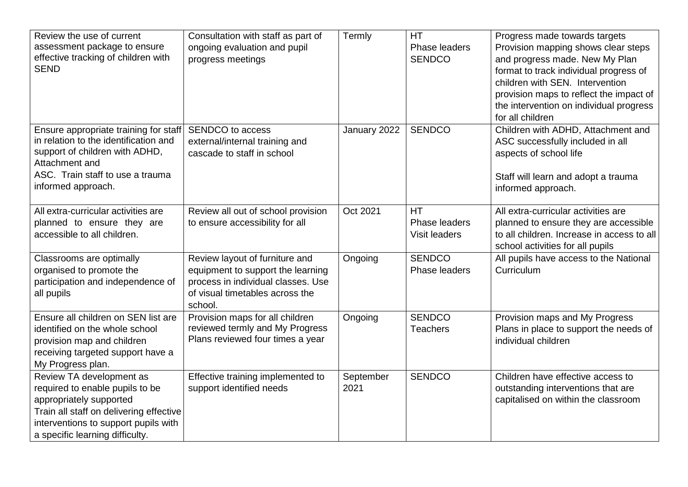| Review the use of current<br>assessment package to ensure<br>effective tracking of children with<br><b>SEND</b>                                                                                              | Consultation with staff as part of<br>ongoing evaluation and pupil<br>progress meetings                                                                 | Termly            | HT<br>Phase leaders<br><b>SENDCO</b>               | Progress made towards targets<br>Provision mapping shows clear steps<br>and progress made. New My Plan<br>format to track individual progress of<br>children with SEN. Intervention<br>provision maps to reflect the impact of<br>the intervention on individual progress<br>for all children |
|--------------------------------------------------------------------------------------------------------------------------------------------------------------------------------------------------------------|---------------------------------------------------------------------------------------------------------------------------------------------------------|-------------------|----------------------------------------------------|-----------------------------------------------------------------------------------------------------------------------------------------------------------------------------------------------------------------------------------------------------------------------------------------------|
| Ensure appropriate training for staff<br>in relation to the identification and<br>support of children with ADHD,<br>Attachment and<br>ASC. Train staff to use a trauma<br>informed approach.                 | SENDCO to access<br>external/internal training and<br>cascade to staff in school                                                                        | January 2022      | <b>SENDCO</b>                                      | Children with ADHD, Attachment and<br>ASC successfully included in all<br>aspects of school life<br>Staff will learn and adopt a trauma<br>informed approach.                                                                                                                                 |
| All extra-curricular activities are<br>planned to ensure they are<br>accessible to all children.                                                                                                             | Review all out of school provision<br>to ensure accessibility for all                                                                                   | Oct 2021          | <b>HT</b><br>Phase leaders<br><b>Visit leaders</b> | All extra-curricular activities are<br>planned to ensure they are accessible<br>to all children. Increase in access to all<br>school activities for all pupils                                                                                                                                |
| Classrooms are optimally<br>organised to promote the<br>participation and independence of<br>all pupils                                                                                                      | Review layout of furniture and<br>equipment to support the learning<br>process in individual classes. Use<br>of visual timetables across the<br>school. | Ongoing           | <b>SENDCO</b><br>Phase leaders                     | All pupils have access to the National<br>Curriculum                                                                                                                                                                                                                                          |
| Ensure all children on SEN list are<br>identified on the whole school<br>provision map and children<br>receiving targeted support have a<br>My Progress plan.                                                | Provision maps for all children<br>reviewed termly and My Progress<br>Plans reviewed four times a year                                                  | Ongoing           | <b>SENDCO</b><br><b>Teachers</b>                   | Provision maps and My Progress<br>Plans in place to support the needs of<br>individual children                                                                                                                                                                                               |
| Review TA development as<br>required to enable pupils to be<br>appropriately supported<br>Train all staff on delivering effective<br>interventions to support pupils with<br>a specific learning difficulty. | Effective training implemented to<br>support identified needs                                                                                           | September<br>2021 | <b>SENDCO</b>                                      | Children have effective access to<br>outstanding interventions that are<br>capitalised on within the classroom                                                                                                                                                                                |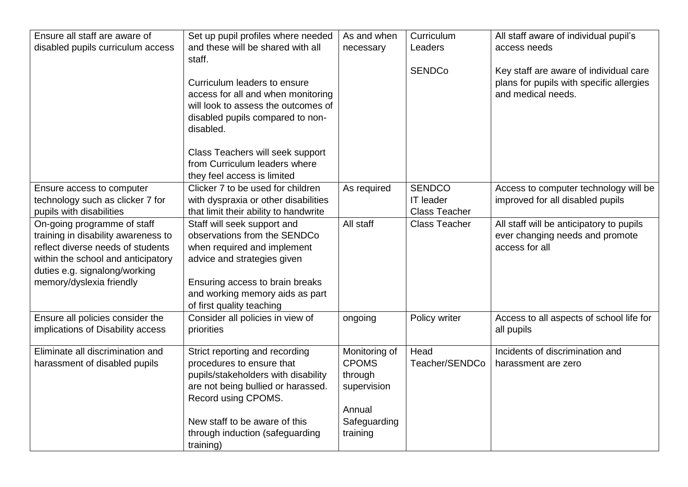| Ensure all staff are aware of<br>disabled pupils curriculum access                                                                                                             | Set up pupil profiles where needed<br>and these will be shared with all<br>staff.                                                                                                                                                                | As and when<br>necessary                                                                      | Curriculum<br>Leaders                                     | All staff aware of individual pupil's<br>access needs                                                    |
|--------------------------------------------------------------------------------------------------------------------------------------------------------------------------------|--------------------------------------------------------------------------------------------------------------------------------------------------------------------------------------------------------------------------------------------------|-----------------------------------------------------------------------------------------------|-----------------------------------------------------------|----------------------------------------------------------------------------------------------------------|
|                                                                                                                                                                                | Curriculum leaders to ensure<br>access for all and when monitoring<br>will look to assess the outcomes of<br>disabled pupils compared to non-<br>disabled.                                                                                       |                                                                                               | <b>SENDCo</b>                                             | Key staff are aware of individual care<br>plans for pupils with specific allergies<br>and medical needs. |
|                                                                                                                                                                                | Class Teachers will seek support<br>from Curriculum leaders where<br>they feel access is limited                                                                                                                                                 |                                                                                               |                                                           |                                                                                                          |
| Ensure access to computer<br>technology such as clicker 7 for<br>pupils with disabilities                                                                                      | Clicker 7 to be used for children<br>with dyspraxia or other disabilities<br>that limit their ability to handwrite                                                                                                                               | As required                                                                                   | <b>SENDCO</b><br><b>IT leader</b><br><b>Class Teacher</b> | Access to computer technology will be<br>improved for all disabled pupils                                |
| On-going programme of staff<br>training in disability awareness to<br>reflect diverse needs of students<br>within the school and anticipatory<br>duties e.g. signalong/working | Staff will seek support and<br>observations from the SENDCo<br>when required and implement<br>advice and strategies given                                                                                                                        | All staff                                                                                     | <b>Class Teacher</b>                                      | All staff will be anticipatory to pupils<br>ever changing needs and promote<br>access for all            |
| memory/dyslexia friendly                                                                                                                                                       | Ensuring access to brain breaks<br>and working memory aids as part<br>of first quality teaching                                                                                                                                                  |                                                                                               |                                                           |                                                                                                          |
| Ensure all policies consider the<br>implications of Disability access                                                                                                          | Consider all policies in view of<br>priorities                                                                                                                                                                                                   | ongoing                                                                                       | Policy writer                                             | Access to all aspects of school life for<br>all pupils                                                   |
| Eliminate all discrimination and<br>harassment of disabled pupils                                                                                                              | Strict reporting and recording<br>procedures to ensure that<br>pupils/stakeholders with disability<br>are not being bullied or harassed.<br>Record using CPOMS.<br>New staff to be aware of this<br>through induction (safeguarding<br>training) | Monitoring of<br><b>CPOMS</b><br>through<br>supervision<br>Annual<br>Safeguarding<br>training | Head<br>Teacher/SENDCo                                    | Incidents of discrimination and<br>harassment are zero                                                   |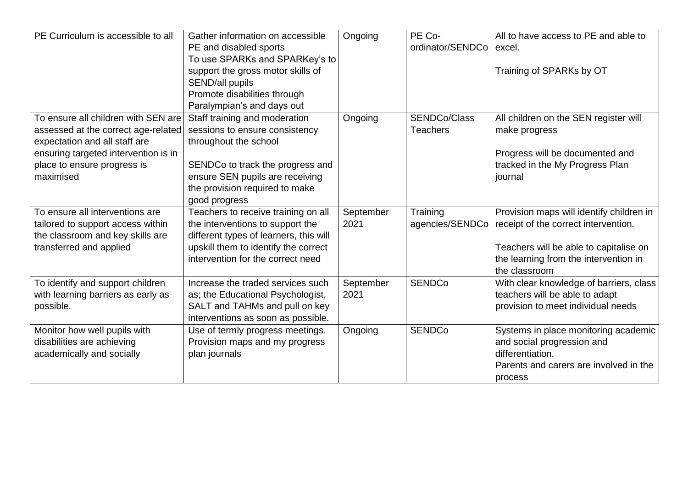| PE Curriculum is accessible to all                                                                                                                                                              | Gather information on accessible<br>PE and disabled sports<br>To use SPARKs and SPARKey's to<br>support the gross motor skills of<br>SEND/all pupils<br>Promote disabilities through<br>Paralympian's and days out | Ongoing           | PE Co-<br>ordinator/SENDCo             | All to have access to PE and able to<br>excel.<br>Training of SPARKs by OT                                                                                                           |
|-------------------------------------------------------------------------------------------------------------------------------------------------------------------------------------------------|--------------------------------------------------------------------------------------------------------------------------------------------------------------------------------------------------------------------|-------------------|----------------------------------------|--------------------------------------------------------------------------------------------------------------------------------------------------------------------------------------|
| To ensure all children with SEN are<br>assessed at the correct age-related<br>expectation and all staff are<br>ensuring targeted intervention is in<br>place to ensure progress is<br>maximised | Staff training and moderation<br>sessions to ensure consistency<br>throughout the school<br>SENDCo to track the progress and<br>ensure SEN pupils are receiving<br>the provision required to make<br>good progress | Ongoing           | <b>SENDCo/Class</b><br><b>Teachers</b> | All children on the SEN register will<br>make progress<br>Progress will be documented and<br>tracked in the My Progress Plan<br>journal                                              |
| To ensure all interventions are<br>tailored to support access within<br>the classroom and key skills are<br>transferred and applied                                                             | Teachers to receive training on all<br>the interventions to support the<br>different types of learners, this will<br>upskill them to identify the correct<br>intervention for the correct need                     | September<br>2021 | Training<br>agencies/SENDCo            | Provision maps will identify children in<br>receipt of the correct intervention.<br>Teachers will be able to capitalise on<br>the learning from the intervention in<br>the classroom |
| To identify and support children<br>with learning barriers as early as<br>possible.                                                                                                             | Increase the traded services such<br>as; the Educational Psychologist,<br>SALT and TAHMs and pull on key<br>interventions as soon as possible.                                                                     | September<br>2021 | <b>SENDCo</b>                          | With clear knowledge of barriers, class<br>teachers will be able to adapt<br>provision to meet individual needs                                                                      |
| Monitor how well pupils with<br>disabilities are achieving<br>academically and socially                                                                                                         | Use of termly progress meetings.<br>Provision maps and my progress<br>plan journals                                                                                                                                | Ongoing           | <b>SENDCo</b>                          | Systems in place monitoring academic<br>and social progression and<br>differentiation.<br>Parents and carers are involved in the<br>process                                          |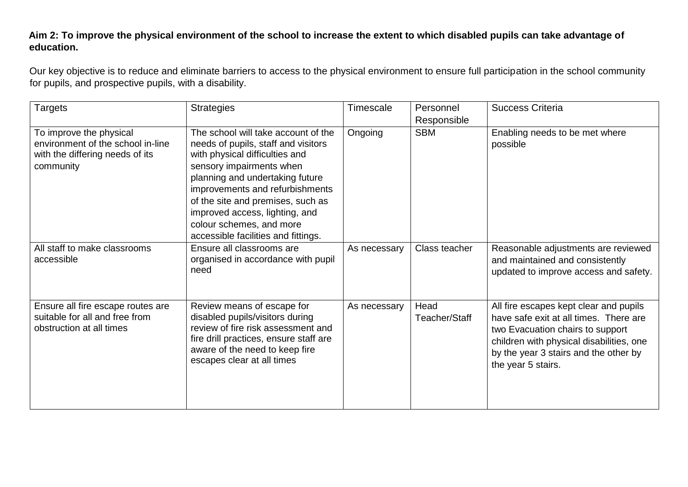#### **Aim 2: To improve the physical environment of the school to increase the extent to which disabled pupils can take advantage of education.**

Our key objective is to reduce and eliminate barriers to access to the physical environment to ensure full participation in the school community for pupils, and prospective pupils, with a disability.

| <b>Targets</b>                                                                                               | <b>Strategies</b>                                                                                                                                                                                                                                                                                                                                        | Timescale    | Personnel<br>Responsible | <b>Success Criteria</b>                                                                                                                                                                                                         |
|--------------------------------------------------------------------------------------------------------------|----------------------------------------------------------------------------------------------------------------------------------------------------------------------------------------------------------------------------------------------------------------------------------------------------------------------------------------------------------|--------------|--------------------------|---------------------------------------------------------------------------------------------------------------------------------------------------------------------------------------------------------------------------------|
| To improve the physical<br>environment of the school in-line<br>with the differing needs of its<br>community | The school will take account of the<br>needs of pupils, staff and visitors<br>with physical difficulties and<br>sensory impairments when<br>planning and undertaking future<br>improvements and refurbishments<br>of the site and premises, such as<br>improved access, lighting, and<br>colour schemes, and more<br>accessible facilities and fittings. | Ongoing      | <b>SBM</b>               | Enabling needs to be met where<br>possible                                                                                                                                                                                      |
| All staff to make classrooms<br>accessible                                                                   | Ensure all classrooms are<br>organised in accordance with pupil<br>need                                                                                                                                                                                                                                                                                  | As necessary | Class teacher            | Reasonable adjustments are reviewed<br>and maintained and consistently<br>updated to improve access and safety.                                                                                                                 |
| Ensure all fire escape routes are<br>suitable for all and free from<br>obstruction at all times              | Review means of escape for<br>disabled pupils/visitors during<br>review of fire risk assessment and<br>fire drill practices, ensure staff are<br>aware of the need to keep fire<br>escapes clear at all times                                                                                                                                            | As necessary | Head<br>Teacher/Staff    | All fire escapes kept clear and pupils<br>have safe exit at all times. There are<br>two Evacuation chairs to support<br>children with physical disabilities, one<br>by the year 3 stairs and the other by<br>the year 5 stairs. |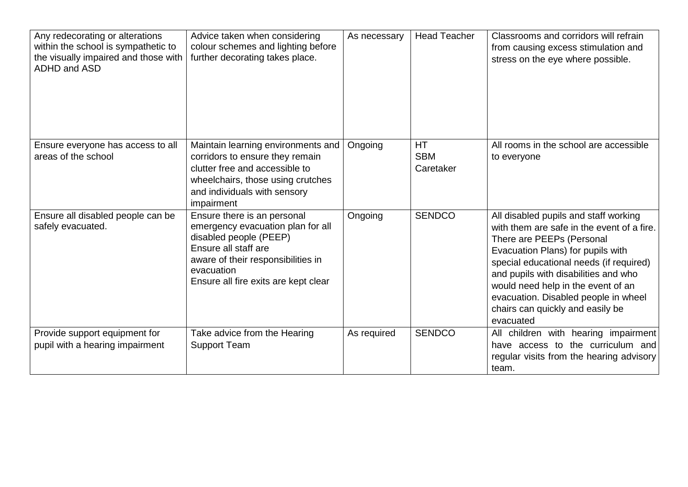| Any redecorating or alterations<br>within the school is sympathetic to<br>the visually impaired and those with<br>ADHD and ASD | Advice taken when considering<br>colour schemes and lighting before<br>further decorating takes place.                                                                                                         | As necessary | <b>Head Teacher</b>                  | Classrooms and corridors will refrain<br>from causing excess stimulation and<br>stress on the eye where possible.                                                                                                                                                                                                                                                       |
|--------------------------------------------------------------------------------------------------------------------------------|----------------------------------------------------------------------------------------------------------------------------------------------------------------------------------------------------------------|--------------|--------------------------------------|-------------------------------------------------------------------------------------------------------------------------------------------------------------------------------------------------------------------------------------------------------------------------------------------------------------------------------------------------------------------------|
| Ensure everyone has access to all<br>areas of the school                                                                       | Maintain learning environments and<br>corridors to ensure they remain<br>clutter free and accessible to<br>wheelchairs, those using crutches<br>and individuals with sensory<br>impairment                     | Ongoing      | <b>HT</b><br><b>SBM</b><br>Caretaker | All rooms in the school are accessible<br>to everyone                                                                                                                                                                                                                                                                                                                   |
| Ensure all disabled people can be<br>safely evacuated.                                                                         | Ensure there is an personal<br>emergency evacuation plan for all<br>disabled people (PEEP)<br>Ensure all staff are<br>aware of their responsibilities in<br>evacuation<br>Ensure all fire exits are kept clear | Ongoing      | <b>SENDCO</b>                        | All disabled pupils and staff working<br>with them are safe in the event of a fire.<br>There are PEEPs (Personal<br>Evacuation Plans) for pupils with<br>special educational needs (if required)<br>and pupils with disabilities and who<br>would need help in the event of an<br>evacuation. Disabled people in wheel<br>chairs can quickly and easily be<br>evacuated |
| Provide support equipment for<br>pupil with a hearing impairment                                                               | Take advice from the Hearing<br><b>Support Team</b>                                                                                                                                                            | As required  | <b>SENDCO</b>                        | All children with hearing impairment<br>have access to the curriculum and<br>regular visits from the hearing advisory<br>team.                                                                                                                                                                                                                                          |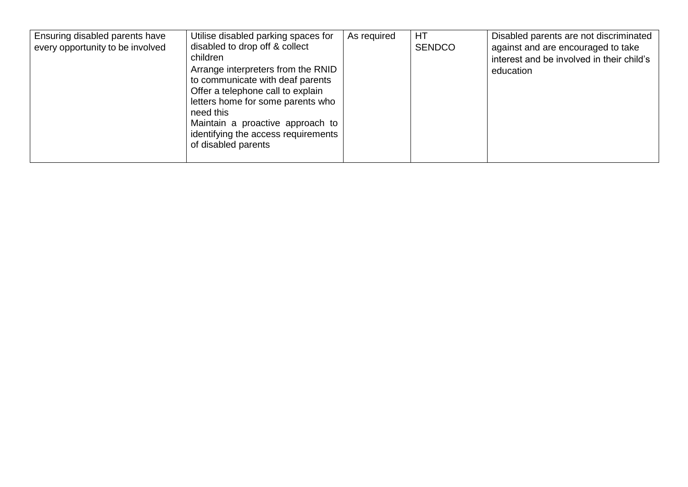| Ensuring disabled parents have<br>every opportunity to be involved | Utilise disabled parking spaces for<br>disabled to drop off & collect<br>children<br>Arrange interpreters from the RNID<br>to communicate with deaf parents<br>Offer a telephone call to explain<br>letters home for some parents who<br>need this<br>Maintain a proactive approach to<br>identifying the access requirements<br>of disabled parents | As required | HT<br><b>SENDCO</b> | Disabled parents are not discriminated<br>against and are encouraged to take<br>interest and be involved in their child's<br>education |
|--------------------------------------------------------------------|------------------------------------------------------------------------------------------------------------------------------------------------------------------------------------------------------------------------------------------------------------------------------------------------------------------------------------------------------|-------------|---------------------|----------------------------------------------------------------------------------------------------------------------------------------|
|--------------------------------------------------------------------|------------------------------------------------------------------------------------------------------------------------------------------------------------------------------------------------------------------------------------------------------------------------------------------------------------------------------------------------------|-------------|---------------------|----------------------------------------------------------------------------------------------------------------------------------------|